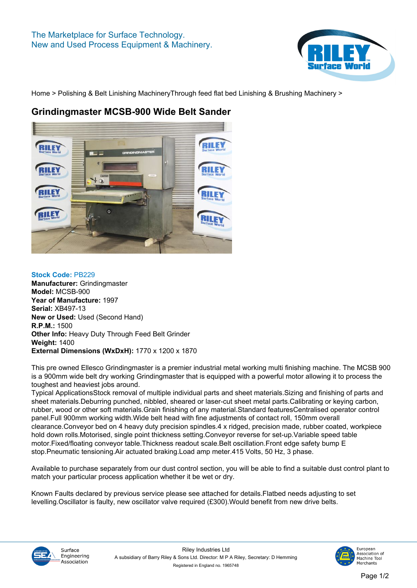

**[Home](https://www.rileysurfaceworld.co.uk) > [Polishing & Belt Linishing Machinery](https://www.rileysurfaceworld.co.uk/polishing-linishing.asp)[Through feed flat bed Linishing & Brushing Machinery](https://www.rileysurfaceworld.co.uk/polishing-through-feed.asp) >**

## **Grindingmaster MCSB-900 Wide Belt Sander**



**Stock Code: PB229 Manufacturer: Grindingmaster Model: MCSB-900 Year of Manufacture: 1997 Serial: XB497-13 New or Used: Used (Second Hand) R.P.M.: 1500 Other Info: Heavy Duty Through Feed Belt Grinder Weight: 1400 External Dimensions (WxDxH): 1770 x 1200 x 1870**

**This pre owned Ellesco Grindingmaster is a premier industrial metal working multi finishing machine. The MCSB 900 is a 900mm wide belt dry working Grindingmaster that is equipped with a powerful motor allowing it to process the toughest and heaviest jobs around.**

**Typical ApplicationsStock removal of multiple individual parts and sheet materials.Sizing and finishing of parts and sheet materials.Deburring punched, nibbled, sheared or laser-cut sheet metal parts.Calibrating or keying carbon, rubber, wood or other soft materials.Grain finishing of any material.Standard featuresCentralised operator control panel.Full 900mm working width.Wide belt head with fine adjustments of contact roll, 150mm overall clearance.Conveyor bed on 4 heavy duty precision spindles.4 x ridged, precision made, rubber coated, workpiece hold down rolls.Motorised, single point thickness setting.Conveyor reverse for set-up.Variable speed table motor.Fixed/floating conveyor table.Thickness readout scale.Belt oscillation.Front edge safety bump E stop.Pneumatic tensioning.Air actuated braking.Load amp meter.415 Volts, 50 Hz, 3 phase.**

**Available to purchase separately from our dust control section, you will be able to find a suitable dust control plant to match your particular process application whether it be wet or dry.**

**Known Faults declared by previous service please see attached for details.Flatbed needs adjusting to set levelling.Oscillator is faulty, new oscillator valve required (£300).Would benefit from new drive belts.**